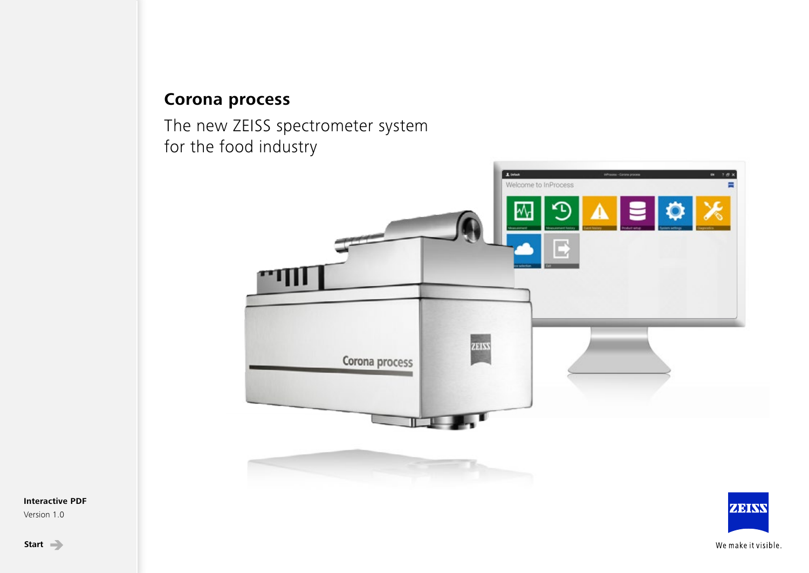# **Corona process**

The new ZEISS spectrometer system for the food industry





**Interactive PDF**

Version 1.0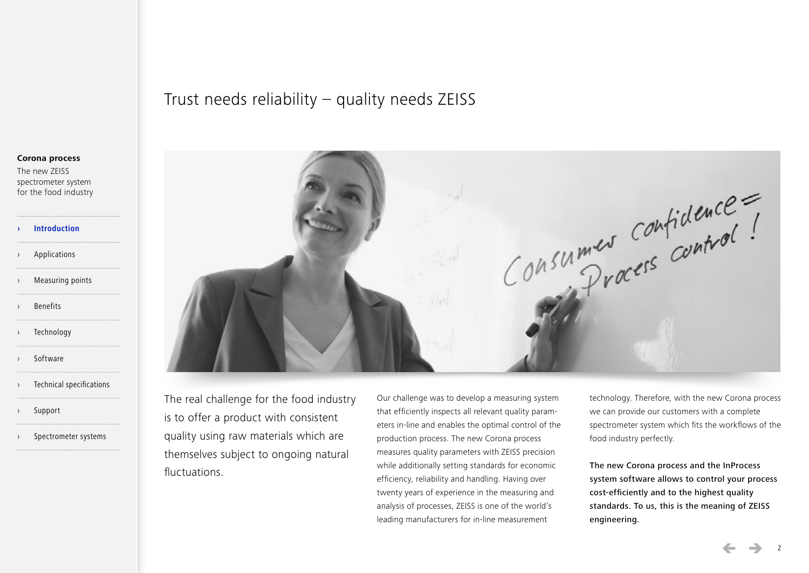### Trust needs reliability – quality needs ZEISS

#### <span id="page-1-0"></span>**Corona process**

The new ZEISS spectrometer system for the food industry

# **› Introduction Applications Measuring points Benefits Technology**

**Software** Technical specifications **Support** 

Spectrometer systems

Consumer confidence?

The real challenge for the food industry is to offer a product with consistent quality using raw materials which are themselves subject to ongoing natural fluctuations.

Our challenge was to develop a measuring system that efficiently inspects all relevant quality parameters in-line and enables the optimal control of the production process. The new Corona process measures quality parameters with ZEISS precision while additionally setting standards for economic efficiency, reliability and handling. Having over twenty years of experience in the measuring and analysis of processes, ZEISS is one of the world's leading manufacturers for in-line measurement

technology. Therefore, with the new Corona process we can provide our customers with a complete spectrometer system which fits the workflows of the food industry perfectly.

The new Corona process and the InProcess system software allows to control your process cost-efficiently and to the highest quality standards. To us, this is the meaning of ZEISS engineering.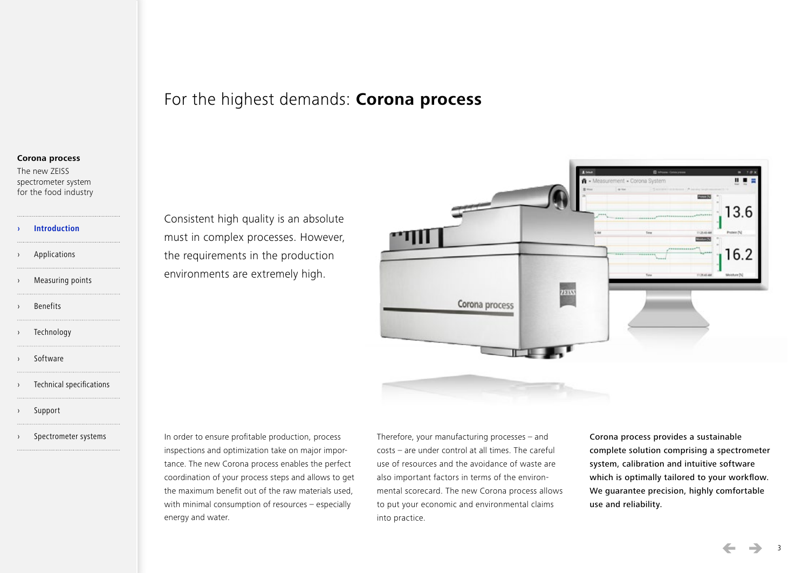### For the highest demands: **Corona process**

#### **Corona process**

The new ZEISS spectrometer system for the food industry

#### **[› Introduction](#page-1-0)**

| ١, | Applications            |
|----|-------------------------|
| ١, | <b>Measuring points</b> |
| ١  | <b>Benefits</b>         |
|    | Technology              |

**Software** 

- Technical specifications
- 
- **Support**
- 

Consistent high quality is an absolute must in complex processes. However, the requirements in the production environments are extremely high.



Spectrometer systems In order to ensure profitable production, process inspections and optimization take on major importance. The new Corona process enables the perfect coordination of your process steps and allows to get the maximum benefit out of the raw materials used, with minimal consumption of resources – especially energy and water.

Therefore, your manufacturing processes – and costs – are under control at all times. The careful use of resources and the avoidance of waste are also important factors in terms of the environmental scorecard. The new Corona process allows to put your economic and environmental claims into practice.

Corona process provides a sustainable complete solution comprising a spectrometer system, calibration and intuitive software which is optimally tailored to your workflow. We guarantee precision, highly comfortable use and reliability.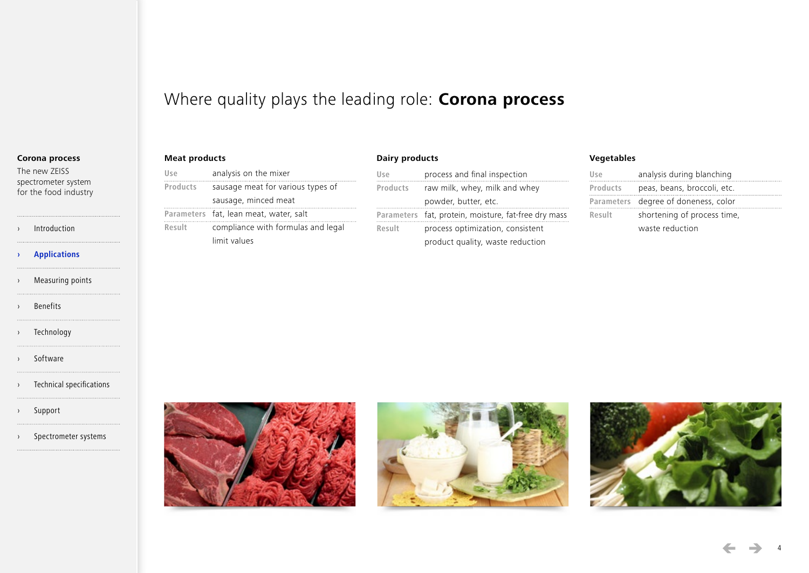# Where quality plays the leading role: **Corona process**

#### <span id="page-3-0"></span>**Corona process**

The new ZEISS spectrometer system for the food industry

[› Introduction](#page-1-0)

#### **› Applications**

- [› Measuring points](#page-5-0)
- 

[› Benefits](#page-6-0)

[› Technology](#page-8-0)

- **Software**
- 
- [› Technical specifications](#page-11-0)
- **Support**
- Spectrometer systems
- 

| Use      | analysis on the mixer                  |  |  |  |
|----------|----------------------------------------|--|--|--|
| Products | sausage meat for various types of      |  |  |  |
|          | sausage, minced meat                   |  |  |  |
|          | Parameters fat, lean meat, water, salt |  |  |  |
| Result   | compliance with formulas and legal     |  |  |  |

limit values

**Meat products**

| - - |                              |
|-----|------------------------------|
| Use | process and final inspection |
|     |                              |

**Dairy products**

**Products** raw milk, whey, milk and whey powder, butter, etc. **Parameters** fat, protein, moisture, fat-free dry mass **Result** process optimization, consistent product quality, waste reduction

**Vegetables**

| llse     | analysis during blanching            |  |  |  |
|----------|--------------------------------------|--|--|--|
| Products | peas, beans, broccoli, etc.          |  |  |  |
|          | Parameters degree of doneness, color |  |  |  |
| Result   | shortening of process time,          |  |  |  |
|          | waste reduction                      |  |  |  |

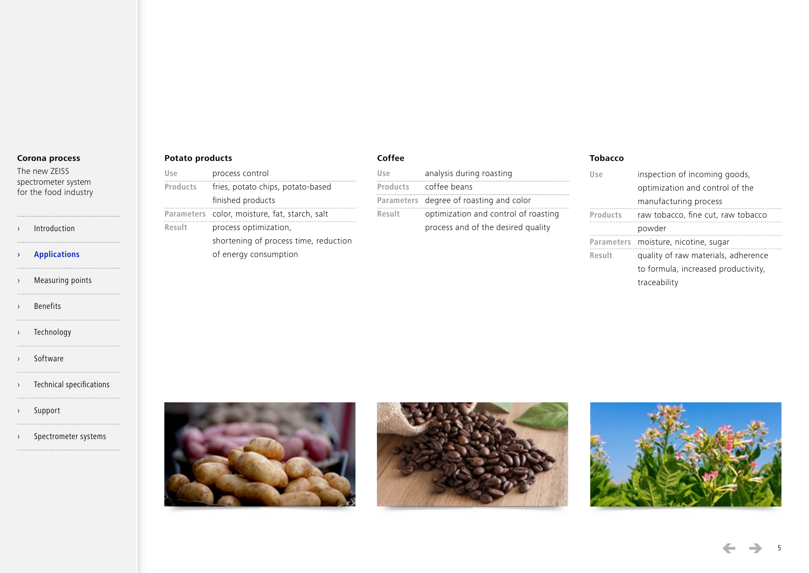#### **Corona process**

The new ZEISS spectrometer system for the food industry

[› Introduction](#page-1-0)

#### **[› Applications](#page-3-0)**

- [› Measuring points](#page-5-0)
- [› Benefits](#page-6-0)

[› Technology](#page-8-0)

- [› Software](#page-9-0)
- 
- [› Technical specifications](#page-11-0)
- [› Support](#page-12-0)
- 
- [› Spectrometer systems](#page-13-0)

### **Potato products**

| Use      | process control                               |
|----------|-----------------------------------------------|
| Products | fries, potato chips, potato-based             |
|          | finished products                             |
|          | Parameters color, moisture, fat, starch, salt |
| Result   | process optimization,                         |
|          | shortening of process time, reduction         |

of energy consumption

### **Coffee Use** analysis during roasting **Products** coffee beans **Parameters** degree of roasting and color **Result** optimization and control of roasting process and of the desired quality

### **Tobacco**

| Use      | inspection of incoming goods,        |  |  |  |
|----------|--------------------------------------|--|--|--|
|          | optimization and control of the      |  |  |  |
|          | manufacturing process                |  |  |  |
| Products | raw tobacco, fine cut, raw tobacco   |  |  |  |
|          | powder                               |  |  |  |
|          | Parameters moisture, nicotine, sugar |  |  |  |
| Result   | quality of raw materials, adherence  |  |  |  |
|          | to formula, increased productivity,  |  |  |  |
|          | traceability                         |  |  |  |



5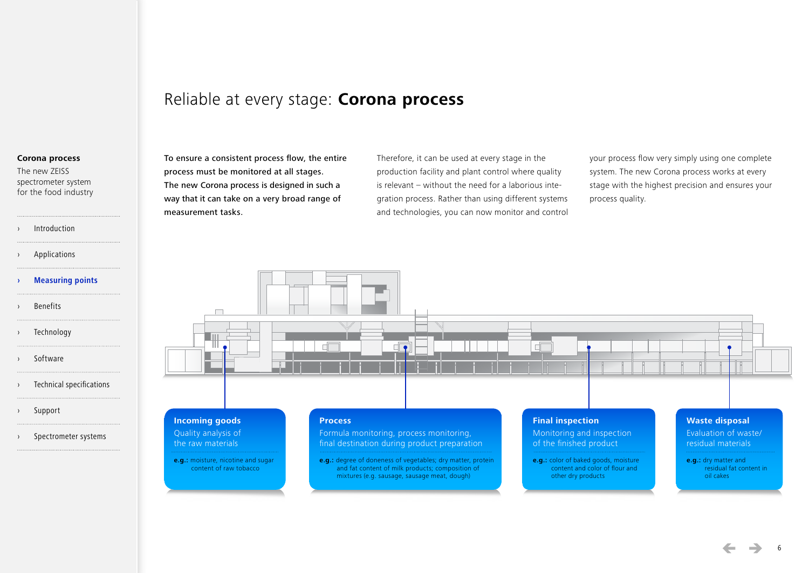## Reliable at every stage: **Corona process**

To ensure a consistent process flow, the entire process must be monitored at all stages. The new Corona process is designed in such a way that it can take on a very broad range of

#### <span id="page-5-0"></span>**Corona process**

The new ZEISS spectrometer system for the food industry

| Introduction |  |
|--------------|--|

|  | Applications |  |
|--|--------------|--|
|--|--------------|--|

```
› Measuring points
```

```
Benefits
```

```
Technology
```

| Software |
|----------|
|          |

|  | Technical specifications |
|--|--------------------------|
|  |                          |

- **Support**
- Spectrometer systems

### **Incoming goods**

measurement tasks.

Quality analysis of the raw materials **e.g.:** moisture, nicotine and sugar content of raw tobacco

Г

Therefore, it can be used at every stage in the production facility and plant control where quality is relevant – without the need for a laborious integration process. Rather than using different systems and technologies, you can now monitor and control

your process flow very simply using one complete system. The new Corona process works at every stage with the highest precision and ensures your process quality.

#### **Process**

Formula monitoring, process monitoring, final destination during product preparation

 $\overline{\phantom{a}}$ 

**e.g.:** degree of doneness of vegetables; dry matter, protein and fat content of milk products; composition of mixtures (e.g. sausage, sausage meat, dough)

#### **Final inspection**

 $\Box$ 

- Monitoring and inspection of the finished product
- **e.g.:** color of baked goods, moisture content and color of flour and other dry products

#### **Waste disposal**

Evaluation of waste/ residual materials

**e.g.:** dry matter and residual fat content in oil cakes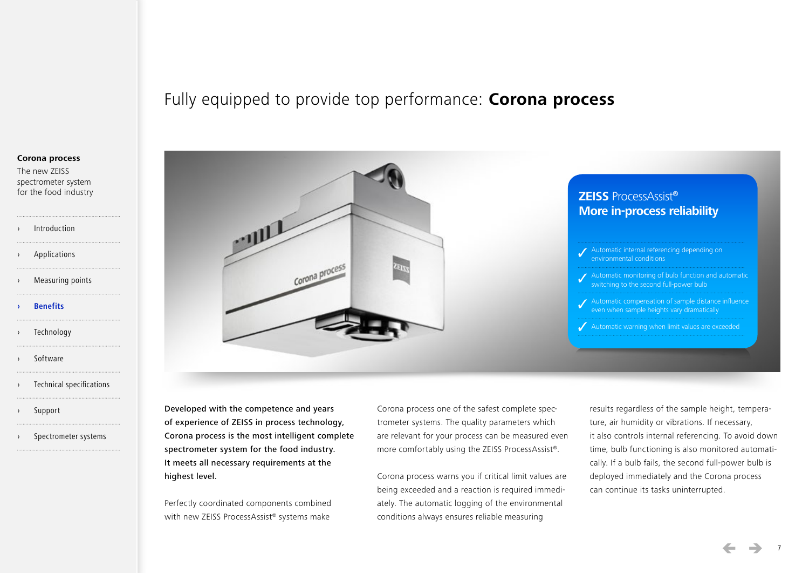## Fully equipped to provide top performance: **Corona process**

#### <span id="page-6-0"></span>**Corona process**

The new ZEISS spectrometer system for the food industry

**Introduction Applications Measuring points › Benefits**

**Technology Software** 

- Technical specifications
- **Support**
- Spectrometer systems



Developed with the competence and years of experience of ZEISS in process technology, Corona process is the most intelligent complete spectrometer system for the food industry. It meets all necessary requirements at the highest level.

Perfectly coordinated components combined with new ZEISS ProcessAssist® systems make

Corona process one of the safest complete spectrometer systems. The quality parameters which are relevant for your process can be measured even more comfortably using the ZEISS ProcessAssist®.

Corona process warns you if critical limit values are being exceeded and a reaction is required immediately. The automatic logging of the environmental conditions always ensures reliable measuring

results regardless of the sample height, temperature, air humidity or vibrations. If necessary, it also controls internal referencing. To avoid down time, bulb functioning is also monitored automatically. If a bulb fails, the second full-power bulb is deployed immediately and the Corona process can continue its tasks uninterrupted.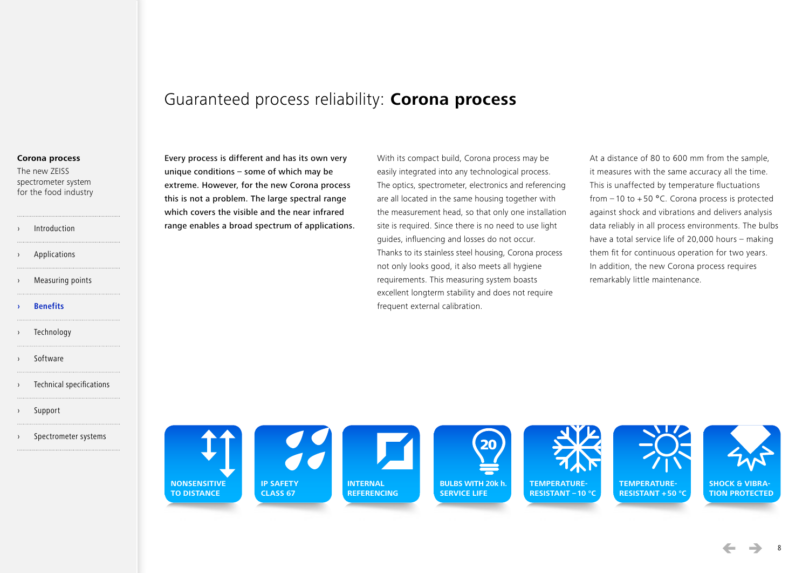## Guaranteed process reliability: **Corona process**

#### **Corona process**

The new ZEISS spectrometer system for the food industry

**Introduction** 

**Applications** 

```
Measuring points
```
#### **[› Benefits](#page-6-0)**

- **Technology**
- 
- **Software**
- Technical specifications
- 
- **Support**
- Spectrometer systems

Every process is different and has its own very unique conditions – some of which may be extreme. However, for the new Corona process this is not a problem. The large spectral range which covers the visible and the near infrared range enables a broad spectrum of applications. With its compact build, Corona process may be easily integrated into any technological process. The optics, spectrometer, electronics and referencing are all located in the same housing together with the measurement head, so that only one installation site is required. Since there is no need to use light guides, influencing and losses do not occur. Thanks to its stainless steel housing, Corona process not only looks good, it also meets all hygiene requirements. This measuring system boasts excellent longterm stability and does not require frequent external calibration.

At a distance of 80 to 600 mm from the sample, it measures with the same accuracy all the time. This is unaffected by temperature fluctuations from  $-10$  to  $+50$  °C. Corona process is protected against shock and vibrations and delivers analysis data reliably in all process environments. The bulbs have a total service life of 20,000 hours – making them fit for continuous operation for two years. In addition, the new Corona process requires remarkably little maintenance.

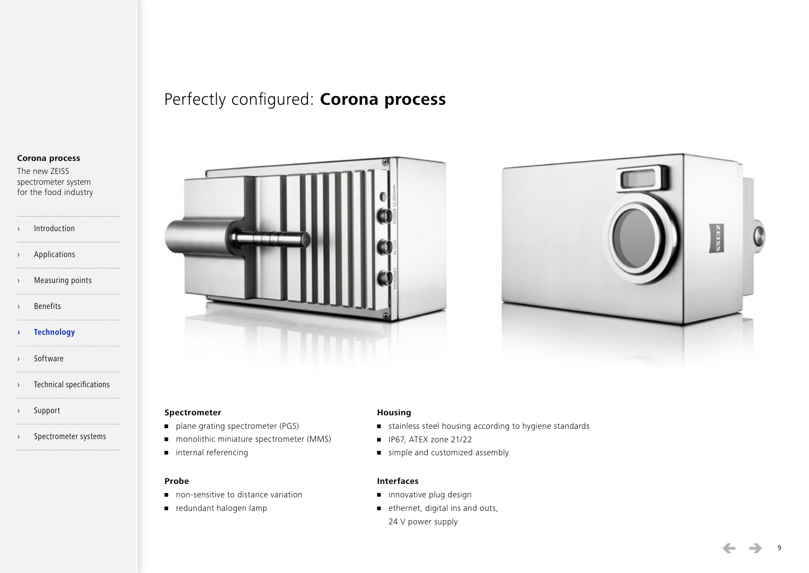# Perfectly configured: **Corona process**

#### <span id="page-8-0"></span>**Corona process**

The new ZEISS spectrometer system for the food industry

**Introduction** 

[› Applications](#page-3-0)

[› Measuring points](#page-5-0)

[› Benefits](#page-6-0)

### **› Technology**

- 
- **Software**
- [› Technical specifications](#page-11-0)
- 
- **Support**
- Spectrometer systems





#### **Spectrometer**

- **•** plane grating spectrometer (PGS)
- **•** monolithic miniature spectrometer (MMS)
- **n** internal referencing

#### **Probe**

- **•** non-sensitive to distance variation
- **•** redundant halogen lamp

### **Housing**

- stainless steel housing according to hygiene standards
- **•** IP67, ATEX zone 21/22
- $\blacksquare$  simple and customized assembly

#### **Interfaces**

- **•** innovative plug design
- **•** ethernet, digital ins and outs, 24 V power supply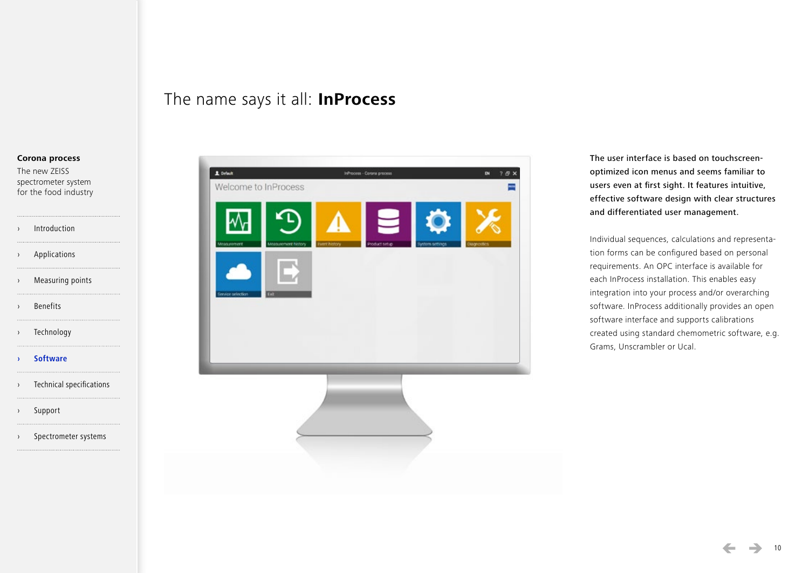# The name says it all: **InProcess**

#### <span id="page-9-0"></span>**Corona process**

The new ZEISS spectrometer system for the food industry

- **Introduction Applications**
- [› Measuring points](#page-5-0)
- 
- **Benefits**
- [› Technology](#page-8-0)

- **› Software**
- 
- [› Technical specifications](#page-11-0)
- 
- **Support**
- 
- Spectrometer systems



The user interface is based on touchscreenoptimized icon menus and seems familiar to users even at first sight. It features intuitive, effective software design with clear structures and differentiated user management.

Individual sequences, calculations and representation forms can be configured based on personal requirements. An OPC interface is available for each InProcess installation. This enables easy integration into your process and/or overarching software. InProcess additionally provides an open software interface and supports calibrations created using standard chemometric software, e.g. Grams, Unscrambler or Ucal.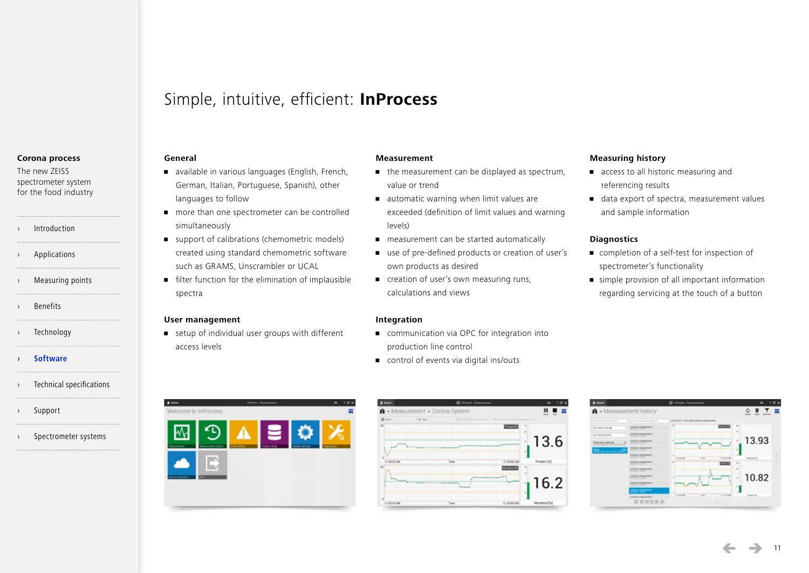# Simple, intuitive, efficient: **InProcess**

**•** available in various languages (English, French, German, Italian, Portuguese, Spanish), other

**•** more than one spectrometer can be controlled

**E** support of calibrations (chemometric models) created using standard chemometric software

**•** setup of individual user groups with different

such as GRAMS, Unscrambler or UCAL • filter function for the elimination of implausible

**General**

languages to follow

simultaneously

spectra

**User management**

access levels

Welcome to InProcess

#### **Corona process**

The new ZEISS spectrometer system for the food industry

- 
- **Introduction**
- **Applications**
- **Measuring points**
- **Benefits**
- **Technology**
- **[› Software](#page-9-0)**
- Technical specifications
- **Support**
- 
- Spectrometer systems

#### **Measurement**

- $\blacksquare$  the measurement can be displayed as spectrum, value or trend
- automatic warning when limit values are exceeded (definition of limit values and warning levels)
- **•** measurement can be started automatically
- use of pre-defined products or creation of user's own products as desired
- **•** creation of user's own measuring runs, calculations and views

#### **Integration**

- communication via OPC for integration into production line control
- control of events via digital ins/outs

#### **Measuring history**

- **a** access to all historic measuring and referencing results
- data export of spectra, measurement values and sample information

#### **Diagnostics**

 $9.783$ 

 $\mathbf{H}$   $\mathbf{H}$   $\mathbf{H}$ 

13.6

16.2

Montere Po

- completion of a self-test for inspection of spectrometer's functionality
- $\blacksquare$  simple provision of all important information regarding servicing at the touch of a button





### 11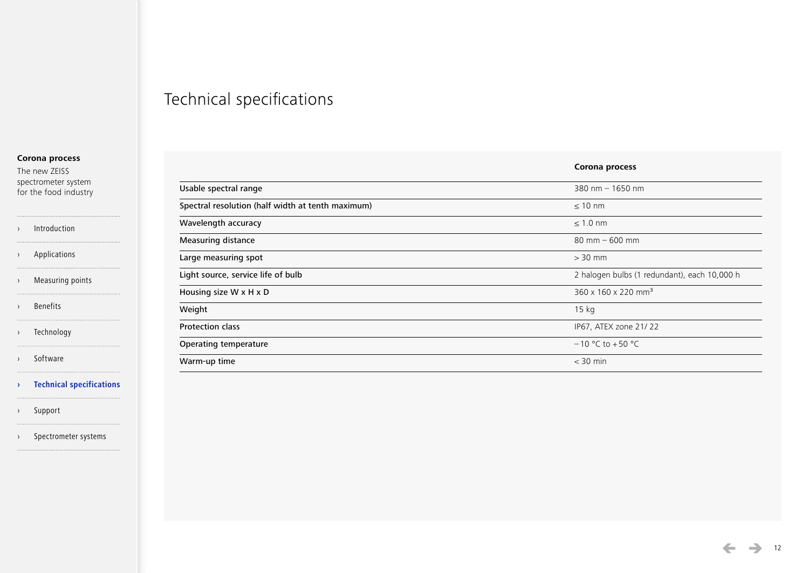# Technical specifications

#### <span id="page-11-0"></span>**Corona process**

The new ZEISS spectrometer system for the food industry

[› Introduction](#page-1-0)

[› Applications](#page-3-0)

[› Measuring points](#page-5-0)

[› Benefits](#page-6-0)

[› Technology](#page-8-0)

[› Software](#page-9-0)

**› Technical specifications**

[› Support](#page-12-0)

[› Spectrometer systems](#page-13-0)

|                                                   | Corona process                               |
|---------------------------------------------------|----------------------------------------------|
| Usable spectral range                             | 380 nm $-$ 1650 nm                           |
| Spectral resolution (half width at tenth maximum) | $\leq 10$ nm                                 |
| Wavelength accuracy                               | $\leq 1.0$ nm                                |
| <b>Measuring distance</b>                         | $80$ mm $-600$ mm                            |
| Large measuring spot                              | $> 30$ mm                                    |
| Light source, service life of bulb                | 2 halogen bulbs (1 redundant), each 10,000 h |
| Housing size W x H x D                            | $360 \times 160 \times 220$ mm <sup>3</sup>  |
| Weight                                            | 15 kg                                        |
| <b>Protection class</b>                           | IP67, ATEX zone 21/22                        |
| Operating temperature                             | $-10$ °C to +50 °C                           |
| Warm-up time                                      | $<$ 30 min                                   |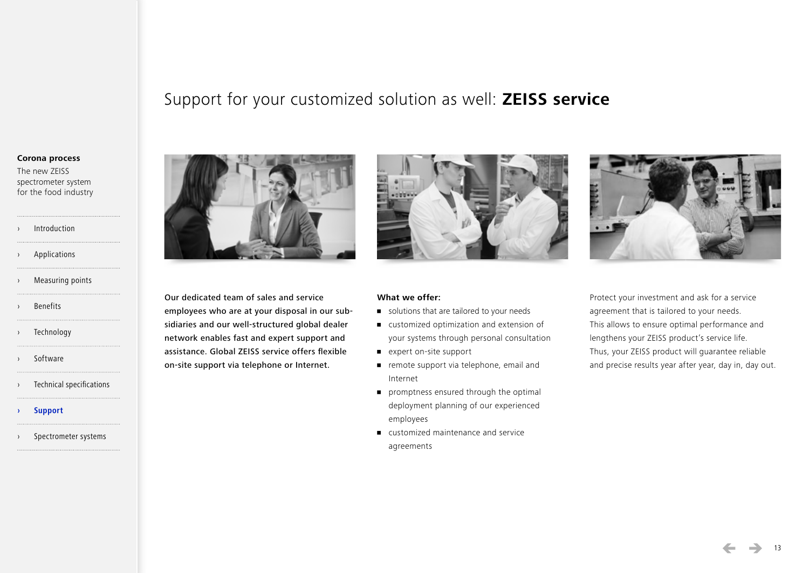## Support for your customized solution as well: **ZEISS service**

#### <span id="page-12-0"></span>**Corona process**

The new ZEISS spectrometer system for the food industry

| $\mathcal{E}$ | Introduction             |
|---------------|--------------------------|
| ١,            | Applications             |
| $\mathcal{E}$ | Measuring points         |
| $\mathcal{E}$ | Benefits                 |
| $\mathcal{E}$ | Technology               |
| $\mathcal{E}$ | Software                 |
| $\mathcal{E}$ | Technical specifications |
| ,             | <b>Support</b>           |

Spectrometer systems



Our dedicated team of sales and service employees who are at your disposal in our subsidiaries and our well-structured global dealer network enables fast and expert support and assistance. Global ZEISS service offers flexible on-site support via telephone or Internet.



#### **What we offer:**

- **•** solutions that are tailored to your needs
- customized optimization and extension of your systems through personal consultation
- **•** expert on-site support
- **•** remote support via telephone, email and Internet
- **•** promptness ensured through the optimal deployment planning of our experienced employees
- **•** customized maintenance and service agreements



Protect your investment and ask for a service agreement that is tailored to your needs. This allows to ensure optimal performance and lengthens your ZEISS product's service life. Thus, your ZEISS product will guarantee reliable and precise results year after year, day in, day out.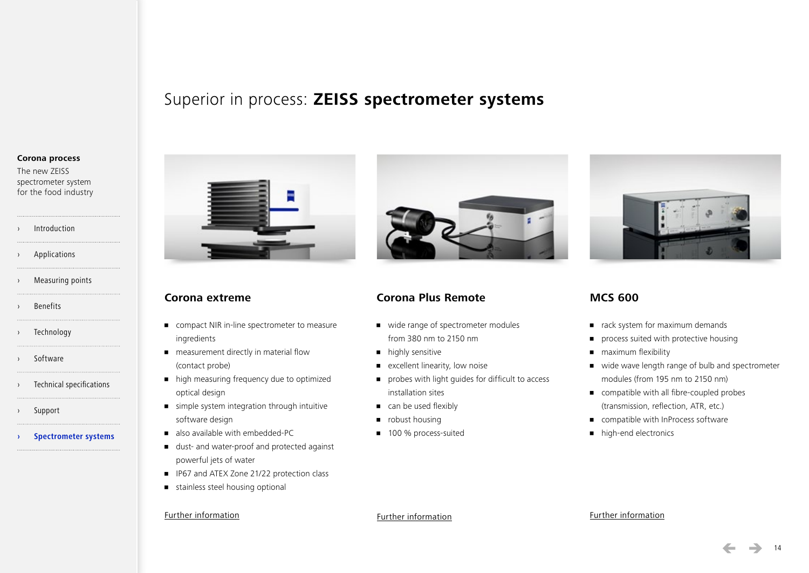# Superior in process: **ZEISS spectrometer systems**

#### <span id="page-13-0"></span>**Corona process**

- The new ZEISS spectrometer system for the food industry
- **Introduction**
- **Applications**
- **Measuring points**
- **Benefits**
- **Technology**
- **Software**
- Technical specifications
- 
- **Support**
- **› Spectrometer systems**



### **Corona extreme**

- **•** compact NIR in-line spectrometer to measure ingredients
- **•** measurement directly in material flow (contact probe)
- high measuring frequency due to optimized optical design
- $\blacksquare$  simple system integration through intuitive software design
- also available with embedded-PC
- dust- and water-proof and protected against powerful jets of water
- **•** IP67 and ATEX Zone 21/22 protection class
- **•** stainless steel housing optional





### **Corona Plus Remote**

- wide range of spectrometer modules from 380 nm to 2150 nm
- **•** highly sensitive
- **•** excellent linearity, low noise
- probes with light guides for difficult to access installation sites
- $\Box$  can be used flexibly
- **•** robust housing
- 100 % process-suited



### **MCS 600**

- **•** rack system for maximum demands
- **•** process suited with protective housing
- **•** maximum flexibility
- wide wave length range of bulb and spectrometer modules (from 195 nm to 2150 nm)
- **•** compatible with all fibre-coupled probes (transmission, reflection, ATR, etc.)
- **•** compatible with InProcess software
- high-end electronics